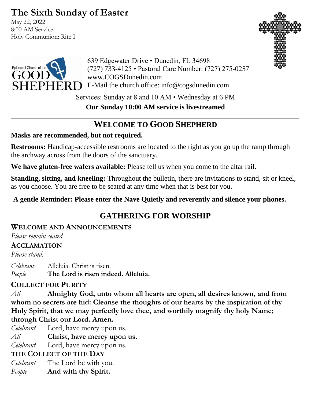# **The Sixth Sunday of Easter**

May 22, 2022 8:00 AM Service Holy Communion: Rite I





639 Edgewater Drive • Dunedin, FL 34698 (727) 733-4125 • Pastoral Care Number: (727) 275-0257 www.COGSDunedin.com E-Mail the church office: info@cogsdunedin.com

Services: Sunday at 8 and 10 AM • Wednesday at 6 PM

**Our Sunday 10:00 AM service is livestreamed**

# **WELCOME TO GOOD SHEPHERD**

### **Masks are recommended, but not required.**

**Restrooms:** Handicap-accessible restrooms are located to the right as you go up the ramp through the archway across from the doors of the sanctuary.

**We have gluten-free wafers available:** Please tell us when you come to the altar rail.

**Standing, sitting, and kneeling:** Throughout the bulletin, there are invitations to stand, sit or kneel, as you choose. You are free to be seated at any time when that is best for you.

**A gentle Reminder: Please enter the Nave Quietly and reverently and silence your phones.**

# **GATHERING FOR WORSHIP**

## **WELCOME AND ANNOUNCEMENTS**

*Please remain seated.*

### **ACCLAMATION**

*Please stand.*

*Celebrant* Alleluia. Christ is risen. *People* **The Lord is risen indeed. Alleluia.**

## **COLLECT FOR PURITY**

*All* **Almighty God, unto whom all hearts are open, all desires known, and from whom no secrets are hid: Cleanse the thoughts of our hearts by the inspiration of thy Holy Spirit, that we may perfectly love thee, and worthily magnify thy holy Name; through Christ our Lord. Amen.**

- *Celebrant* Lord, have mercy upon us.
- *All* **Christ, have mercy upon us.**

*Celebrant* Lord, have mercy upon us.

## **THE COLLECT OF THE DAY**

- *Celebrant* The Lord be with you.
- *People* **And with thy Spirit.**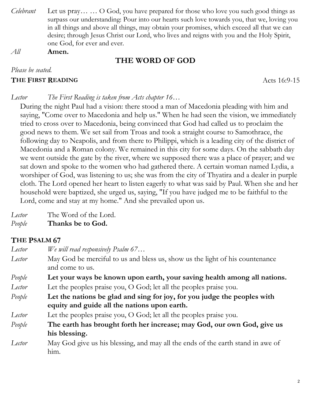- *Celebrant* Let us pray… … O God, you have prepared for those who love you such good things as surpass our understanding: Pour into our hearts such love towards you, that we, loving you in all things and above all things, may obtain your promises, which exceed all that we can desire; through Jesus Christ our Lord, who lives and reigns with you and the Holy Spirit, one God, for ever and ever.
- *All* **Amen.**

## **THE WORD OF GOD**

*Please be seated.*

#### **THE FIRST READING** Acts 16:9-15

#### *Lector The First Reading is taken from Acts chapter 16…*

During the night Paul had a vision: there stood a man of Macedonia pleading with him and saying, "Come over to Macedonia and help us." When he had seen the vision, we immediately tried to cross over to Macedonia, being convinced that God had called us to proclaim the good news to them. We set sail from Troas and took a straight course to Samothrace, the following day to Neapolis, and from there to Philippi, which is a leading city of the district of Macedonia and a Roman colony. We remained in this city for some days. On the sabbath day we went outside the gate by the river, where we supposed there was a place of prayer; and we sat down and spoke to the women who had gathered there. A certain woman named Lydia, a worshiper of God, was listening to us; she was from the city of Thyatira and a dealer in purple cloth. The Lord opened her heart to listen eagerly to what was said by Paul. When she and her household were baptized, she urged us, saying, "If you have judged me to be faithful to the Lord, come and stay at my home." And she prevailed upon us.

*Lector* The Word of the Lord.

### *People* **Thanks be to God.**

## **THE PSALM 67**

- *Lector We will read responsively Psalm 67…*
- *Lector* May God be merciful to us and bless us, show us the light of his countenance and come to us.
- *People* **Let your ways be known upon earth, your saving health among all nations.** *Lector* Let the peoples praise you, O God; let all the peoples praise you.
- *People* **Let the nations be glad and sing for joy, for you judge the peoples with equity and guide all the nations upon earth.**
- *Lector* Let the peoples praise you, O God; let all the peoples praise you.
- *People* **The earth has brought forth her increase; may God, our own God, give us his blessing.**
- *Lector* May God give us his blessing, and may all the ends of the earth stand in awe of him.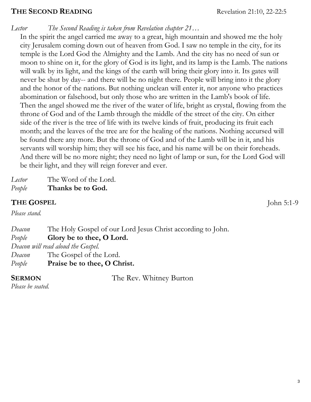#### **THE SECOND READING** Revelation 21:10, 22-22:5

*Lector The Second Reading is taken from Revelation chapter 21…*

In the spirit the angel carried me away to a great, high mountain and showed me the holy city Jerusalem coming down out of heaven from God. I saw no temple in the city, for its temple is the Lord God the Almighty and the Lamb. And the city has no need of sun or moon to shine on it, for the glory of God is its light, and its lamp is the Lamb. The nations will walk by its light, and the kings of the earth will bring their glory into it. Its gates will never be shut by day-- and there will be no night there. People will bring into it the glory and the honor of the nations. But nothing unclean will enter it, nor anyone who practices abomination or falsehood, but only those who are written in the Lamb's book of life. Then the angel showed me the river of the water of life, bright as crystal, flowing from the throne of God and of the Lamb through the middle of the street of the city. On either side of the river is the tree of life with its twelve kinds of fruit, producing its fruit each month; and the leaves of the tree are for the healing of the nations. Nothing accursed will be found there any more. But the throne of God and of the Lamb will be in it, and his servants will worship him; they will see his face, and his name will be on their foreheads. And there will be no more night; they need no light of lamp or sun, for the Lord God will be their light, and they will reign forever and ever.

| Lector | The Word of the Lord. |
|--------|-----------------------|
| People | Thanks be to God.     |

#### **THE GOSPEL** John 5:1-9

*Please stand.*

*Deacon* The Holy Gospel of our Lord Jesus Christ according to John. *People* **Glory be to thee, O Lord.**  *Deacon will read aloud the Gospel. Deacon* The Gospel of the Lord. *People* **Praise be to thee, O Christ.**

**SERMON** The Rev. Whitney Burton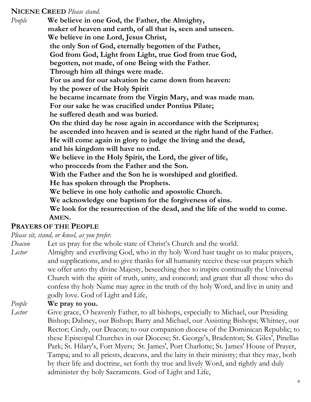#### **NICENE CREED** *Please stand.*

*People* **We believe in one God, the Father, the Almighty, maker of heaven and earth, of all that is, seen and unseen. We believe in one Lord, Jesus Christ, the only Son of God, eternally begotten of the Father, God from God, Light from Light, true God from true God, begotten, not made, of one Being with the Father. Through him all things were made. For us and for our salvation he came down from heaven: by the power of the Holy Spirit he became incarnate from the Virgin Mary, and was made man. For our sake he was crucified under Pontius Pilate; he suffered death and was buried. On the third day he rose again in accordance with the Scriptures; he ascended into heaven and is seated at the right hand of the Father. He will come again in glory to judge the living and the dead, and his kingdom will have no end. We believe in the Holy Spirit, the Lord, the giver of life, who proceeds from the Father and the Son. With the Father and the Son he is worshiped and glorified. He has spoken through the Prophets. We believe in one holy catholic and apostolic Church. We acknowledge one baptism for the forgiveness of sins. We look for the resurrection of the dead, and the life of the world to come. AMEN.**

### **PRAYERS OF THE PEOPLE**

*Please sit, stand, or kneel, as you prefer.*

*Deacon* Let us pray for the whole state of Christ's Church and the world.

*Lector* Almighty and everliving God, who in thy holy Word hast taught us to make prayers, and supplications, and to give thanks for all humanity receive these our prayers which we offer unto thy divine Majesty, beseeching thee to inspire continually the Universal Church with the spirit of truth, unity, and concord; and grant that all those who do confess thy holy Name may agree in the truth of thy holy Word, and live in unity and godly love. God of Light and Life,

#### *People* **We pray to you.**

- 
- 
- *Lector* Give grace, O heavenly Father, to all bishops, especially to Michael, our Presiding Bishop; Dabney, our Bishop; Barry and Michael, our Assisting Bishops; Whitney, our Rector; Cindy, our Deacon; to our companion diocese of the Dominican Republic; to these Episcopal Churches in our Diocese; St. George's, Bradenton; St. Giles', Pinellas Park; St. Hilary's, Fort Myers; St. James', Port Charlotte; St. James' House of Prayer, Tampa; and to all priests, deacons, and the laity in their ministry; that they may, both by their life and doctrine, set forth thy true and lively Word, and rightly and duly administer thy holy Sacraments. God of Light and Life,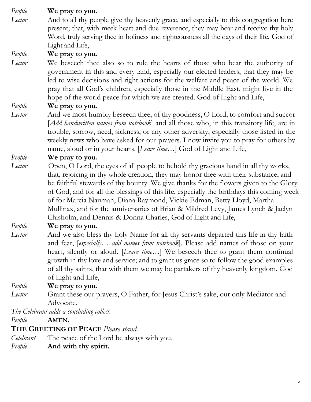## *People* **We pray to you.**

*Lector* And to all thy people give thy heavenly grace, and especially to this congregation here present; that, with meek heart and due reverence, they may hear and receive thy holy Word, truly serving thee in holiness and righteousness all the days of their life. God of Light and Life,

#### *People* **We pray to you.**

*Lector* We beseech thee also so to rule the hearts of those who bear the authority of government in this and every land, especially our elected leaders, that they may be led to wise decisions and right actions for the welfare and peace of the world. We pray that all God's children, especially those in the Middle East, might live in the hope of the world peace for which we are created. God of Light and Life,

#### *People* **We pray to you.**

*Lector* And we most humbly beseech thee, of thy goodness, O Lord, to comfort and succor [*Add handwritten names from notebook*] and all those who, in this transitory life, are in trouble, sorrow, need, sickness, or any other adversity, especially those listed in the weekly news who have asked for our prayers. I now invite you to pray for others by name, aloud or in your hearts. [*Leave time…*] God of Light and Life,

#### *People* **We pray to you.**

*Lector* Open, O Lord, the eyes of all people to behold thy gracious hand in all thy works, that, rejoicing in thy whole creation, they may honor thee with their substance, and be faithful stewards of thy bounty. We give thanks for the flowers given to the Glory of God, and for all the blessings of this life, especially the birthdays this coming week of for Marcia Nauman, Diana Raymond, Vickie Edman, Betty Lloyd, Martha Mullinax, and for the anniversaries of Brian & Mildred Levy, James Lynch & Jaclyn Chisholm, and Dennis & Donna Charles, God of Light and Life,

### *People* **We pray to you.**

*Lector* And we also bless thy holy Name for all thy servants departed this life in thy faith and fear, [*especially… add names from notebook*]. Please add names of those on your heart, silently or aloud. [*Leave time…*] We beseech thee to grant them continual growth in thy love and service; and to grant us grace so to follow the good examples of all thy saints, that with them we may be partakers of thy heavenly kingdom. God of Light and Life,

*People* **We pray to you.**

*Lector* Grant these our prayers, O Father, for Jesus Christ's sake, our only Mediator and Advocate.

*The Celebrant adds a concluding collect.* 

*People* **AMEN.**

### **THE GREETING OF PEACE** *Please stand.*

- *Celebrant* The peace of the Lord be always with you.
- *People* **And with thy spirit.**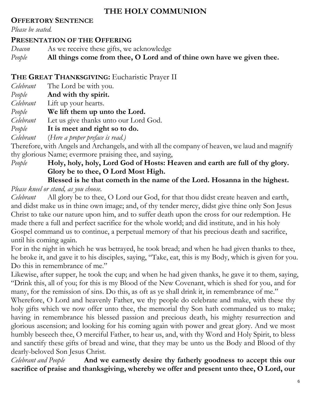## **THE HOLY COMMUNION**

## **OFFERTORY SENTENCE**

*Please be seated.*

## **PRESENTATION OF THE OFFERING**

*Deacon* As we receive these gifts, we acknowledge

*People* **All things come from thee, O Lord and of thine own have we given thee.**

# **THE GREAT THANKSGIVING:** Eucharistic Prayer II

- *Celebrant* The Lord be with you.
- *People* **And with thy spirit.**
- *Celebrant* Lift up your hearts.
- *People* **We lift them up unto the Lord.**
- *Celebrant* Let us give thanks unto our Lord God.
- *People* **It is meet and right so to do.**

*Celebrant* (*Here a proper preface is read.)*

Therefore, with Angels and Archangels, and with all the company of heaven, we laud and magnify thy glorious Name; evermore praising thee, and saying,

*People* **Holy, holy, holy, Lord God of Hosts: Heaven and earth are full of thy glory. Glory be to thee, O Lord Most High.** 

## **Blessed is he that cometh in the name of the Lord. Hosanna in the highest.** *Please kneel or stand, as you choose.*

*Celebrant* All glory be to thee, O Lord our God, for that thou didst create heaven and earth, and didst make us in thine own image; and, of thy tender mercy, didst give thine only Son Jesus Christ to take our nature upon him, and to suffer death upon the cross for our redemption. He made there a full and perfect sacrifice for the whole world; and did institute, and in his holy Gospel command us to continue, a perpetual memory of that his precious death and sacrifice, until his coming again.

For in the night in which he was betrayed, he took bread; and when he had given thanks to thee, he broke it, and gave it to his disciples, saying, "Take, eat, this is my Body, which is given for you. Do this in remembrance of me."

Likewise, after supper, he took the cup; and when he had given thanks, he gave it to them, saying, "Drink this, all of you; for this is my Blood of the New Covenant, which is shed for you, and for many, for the remission of sins. Do this, as oft as ye shall drink it, in remembrance of me."

Wherefore, O Lord and heavenly Father, we thy people do celebrate and make, with these thy holy gifts which we now offer unto thee, the memorial thy Son hath commanded us to make; having in remembrance his blessed passion and precious death, his mighty resurrection and glorious ascension; and looking for his coming again with power and great glory. And we most humbly beseech thee, O merciful Father, to hear us, and, with thy Word and Holy Spirit, to bless and sanctify these gifts of bread and wine, that they may be unto us the Body and Blood of thy dearly-beloved Son Jesus Christ.

*Celebrant and People* **And we earnestly desire thy fatherly goodness to accept this our sacrifice of praise and thanksgiving, whereby we offer and present unto thee, O Lord, our**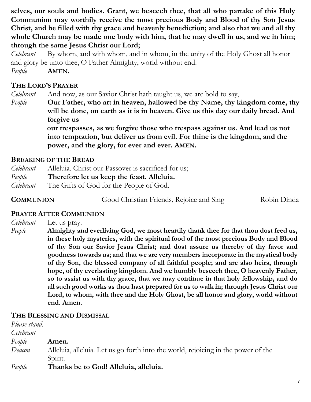**selves, our souls and bodies. Grant, we beseech thee, that all who partake of this Holy Communion may worthily receive the most precious Body and Blood of thy Son Jesus Christ, and be filled with thy grace and heavenly benediction; and also that we and all thy whole Church may be made one body with him, that he may dwell in us, and we in him; through the same Jesus Christ our Lord;** 

*Celebrant* By whom, and with whom, and in whom, in the unity of the Holy Ghost all honor and glory be unto thee, O Father Almighty, world without end. *People* **AMEN.**

#### **THE LORD'S PRAYER**

*Celebrant* And now, as our Savior Christ hath taught us, we are bold to say,

*People* **Our Father, who art in heaven, hallowed be thy Name, thy kingdom come, thy will be done, on earth as it is in heaven. Give us this day our daily bread. And forgive us**

> **our trespasses, as we forgive those who trespass against us. And lead us not into temptation, but deliver us from evil. For thine is the kingdom, and the power, and the glory, for ever and ever. AMEN.**

#### **BREAKING OF THE BREAD**

| Celebrant | Alleluia. Christ our Passover is sacrificed for us; |
|-----------|-----------------------------------------------------|
| People    | Therefore let us keep the feast. Alleluia.          |
| Celebrant | The Gifts of God for the People of God.             |

**COMMUNION Good Christian Friends, Rejoice and Sing Robin Dinda** 

#### **PRAYER AFTER COMMUNION**

*Celebrant* Let us pray.

*People* **Almighty and everliving God, we most heartily thank thee for that thou dost feed us, in these holy mysteries, with the spiritual food of the most precious Body and Blood of thy Son our Savior Jesus Christ; and dost assure us thereby of thy favor and goodness towards us; and that we are very members incorporate in the mystical body of thy Son, the blessed company of all faithful people; and are also heirs, through hope, of thy everlasting kingdom. And we humbly beseech thee, O heavenly Father, so to assist us with thy grace, that we may continue in that holy fellowship, and do all such good works as thou hast prepared for us to walk in; through Jesus Christ our Lord, to whom, with thee and the Holy Ghost, be all honor and glory, world without end. Amen.**

#### **THE BLESSING AND DISMISSAL**

| Please stand. |                                                                                   |
|---------------|-----------------------------------------------------------------------------------|
| Celebrant     |                                                                                   |
| People        | Amen.                                                                             |
| Deacon        | Alleluia, alleluia. Let us go forth into the world, rejoicing in the power of the |
|               | Spirit.                                                                           |
| People        | Thanks be to God! Alleluia, alleluia.                                             |